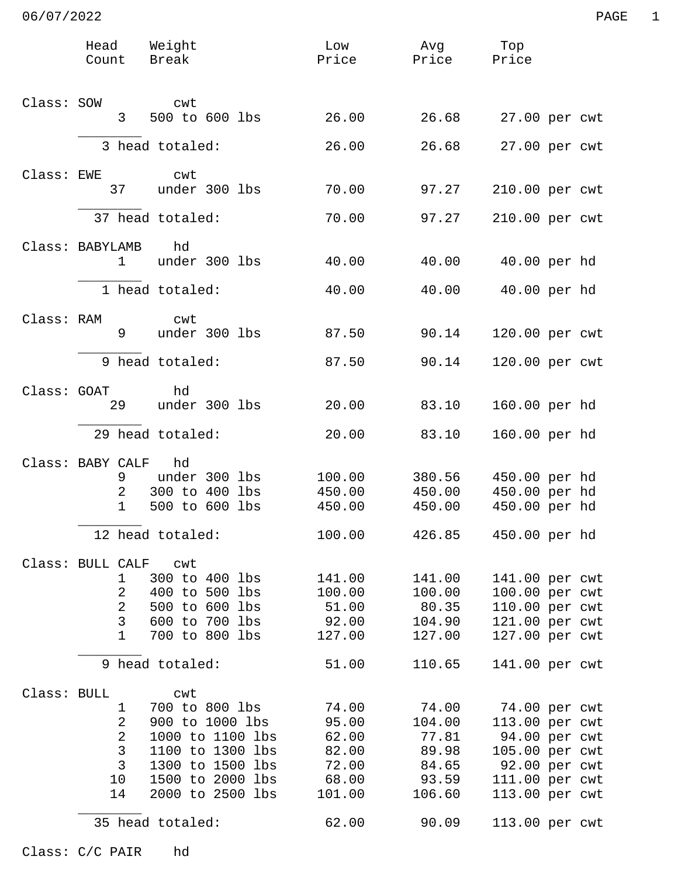|             | Head Weight<br>Count Break                      |                                                                                                                                              | Low<br>Price                                                 | Avg<br>Price Price                                            | Тор                            |                                                                                                                         |
|-------------|-------------------------------------------------|----------------------------------------------------------------------------------------------------------------------------------------------|--------------------------------------------------------------|---------------------------------------------------------------|--------------------------------|-------------------------------------------------------------------------------------------------------------------------|
| Class: SOW  | 3                                               | cwt<br>500 to 600 lbs                                                                                                                        | 26.00                                                        | 26.68                                                         |                                | 27.00 per cwt                                                                                                           |
|             |                                                 | 3 head totaled:                                                                                                                              | 26.00                                                        | 26.68                                                         |                                | 27.00 per cwt                                                                                                           |
| Class: EWE  |                                                 | cwt                                                                                                                                          |                                                              |                                                               |                                |                                                                                                                         |
|             | 37                                              | under 300 lbs                                                                                                                                | 70.00                                                        | 97.27                                                         |                                | 210.00 per cwt                                                                                                          |
|             |                                                 | 37 head totaled:                                                                                                                             | 70.00                                                        | 97.27                                                         |                                | 210.00 per cwt                                                                                                          |
|             | Class: BABYLAMB<br>$\mathbf 1$                  | hd<br>under 300 lbs                                                                                                                          | 40.00                                                        | 40.00                                                         |                                | 40.00 per hd                                                                                                            |
|             |                                                 | 1 head totaled:                                                                                                                              | 40.00                                                        | 40.00                                                         |                                | 40.00 per hd                                                                                                            |
| Class: RAM  | 9                                               | cwt<br>under 300 lbs                                                                                                                         | 87.50                                                        | 90.14                                                         |                                | 120.00 per cwt                                                                                                          |
|             |                                                 | 9 head totaled:                                                                                                                              | 87.50                                                        | 90.14                                                         |                                | 120.00 per cwt                                                                                                          |
| Class: GOAT | 29                                              | hd<br>under 300 lbs                                                                                                                          | 20.00                                                        | 83.10                                                         |                                | 160.00 per hd                                                                                                           |
|             |                                                 | 29 head totaled:                                                                                                                             | 20.00                                                        | 83.10                                                         |                                | 160.00 per hd                                                                                                           |
|             | Class: BABY CALF<br>9<br>2<br>$\mathbf{1}$      | hd<br>under 300 lbs<br>300 to 400 lbs<br>500 to 600 lbs<br>12 head totaled:                                                                  | 100.00<br>450.00<br>450.00<br>100.00                         | 380.56<br>450.00<br>450.00<br>426.85                          | 450.00 per hd<br>450.00 per hd | 450.00 per hd<br>450.00 per hd                                                                                          |
|             | Class: BULL CALF cwt                            |                                                                                                                                              |                                                              |                                                               |                                |                                                                                                                         |
|             | 1<br>2<br>$\overline{2}$<br>$\overline{3}$<br>1 | 300 to 400 lbs<br>400 to 500 lbs<br>500 to 600 lbs<br>600 to 700 lbs<br>700 to 800 lbs                                                       | 141.00<br>100.00<br>51.00<br>92.00<br>127.00                 | 141.00<br>100.00<br>80.35<br>104.90<br>127.00                 |                                | 141.00 per cwt<br>100.00 per cwt<br>110.00 per cwt<br>121.00 per cwt<br>127.00 per cwt                                  |
|             |                                                 | 9 head totaled:                                                                                                                              | 51.00                                                        | 110.65                                                        |                                | 141.00 per cwt                                                                                                          |
| Class: BULL | 1<br>2<br>2<br>3<br>3<br>10<br>14               | cwt<br>700 to 800 lbs<br>900 to 1000 lbs<br>1000 to 1100 lbs<br>1100 to 1300 lbs<br>1300 to 1500 lbs<br>1500 to 2000 lbs<br>2000 to 2500 lbs | 74.00<br>95.00<br>62.00<br>82.00<br>72.00<br>68.00<br>101.00 | 74.00<br>104.00<br>77.81<br>89.98<br>84.65<br>93.59<br>106.60 |                                | 74.00 per cwt<br>113.00 per cwt<br>94.00 per cwt<br>105.00 per cwt<br>92.00 per cwt<br>111.00 per cwt<br>113.00 per cwt |
|             | 35 head totaled:                                |                                                                                                                                              | 62.00                                                        | 90.09                                                         |                                | 113.00 per cwt                                                                                                          |

Class: C/C PAIR hd